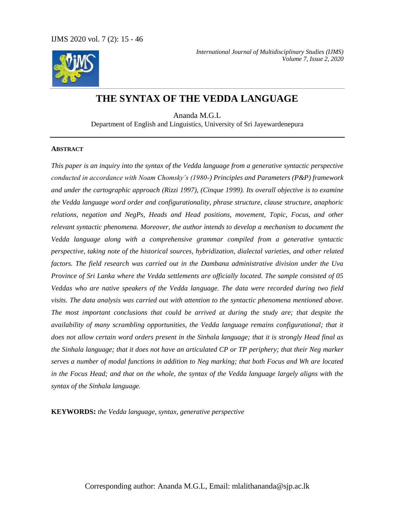

# **THE SYNTAX OF THE VEDDA LANGUAGE**

Ananda M.G.L Department of English and Linguistics, University of Sri Jayewardenepura

### **ABSTRACT**

*This paper is an inquiry into the syntax of the Vedda language from a generative syntactic perspective conducted in accordance with Noam Chomsky's (1980-) Principles and Parameters (P&P) framework and under the cartographic approach (Rizzi 1997), (Cinque 1999). Its overall objective is to examine the Vedda language word order and configurationality, phrase structure, clause structure, anaphoric relations, negation and NegPs, Heads and Head positions, movement, Topic, Focus, and other relevant syntactic phenomena. Moreover, the author intends to develop a mechanism to document the Vedda language along with a comprehensive grammar compiled from a generative syntactic perspective, taking note of the historical sources, hybridization, dialectal varieties, and other related factors. The field research was carried out in the Dambana administrative division under the Uva Province of Sri Lanka where the Vedda settlements are officially located. The sample consisted of 05 Veddas who are native speakers of the Vedda language. The data were recorded during two field visits. The data analysis was carried out with attention to the syntactic phenomena mentioned above. The most important conclusions that could be arrived at during the study are; that despite the availability of many scrambling opportunities, the Vedda language remains configurational; that it does not allow certain word orders present in the Sinhala language; that it is strongly Head final as the Sinhala language; that it does not have an articulated CP or TP periphery; that their Neg marker serves a number of modal functions in addition to Neg marking; that both Focus and Wh are located in the Focus Head; and that on the whole, the syntax of the Vedda language largely aligns with the syntax of the Sinhala language.*

**KEYWORDS:** *the Vedda language, syntax, generative perspective*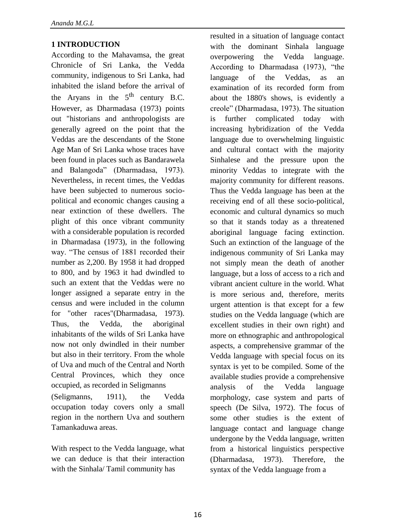# **1 INTRODUCTION**

According to the Mahavamsa, the great Chronicle of Sri Lanka, the Vedda community, indigenous to Sri Lanka, had inhabited the island before the arrival of the Aryans in the  $5<sup>th</sup>$  century B.C. However, as Dharmadasa (1973) points out "historians and anthropologists are generally agreed on the point that the Veddas are the descendants of the Stone Age Man of Sri Lanka whose traces have been found in places such as Bandarawela and Balangoda" (Dharmadasa, 1973). Nevertheless, in recent times, the Veddas have been subjected to numerous sociopolitical and economic changes causing a near extinction of these dwellers. The plight of this once vibrant community with a considerable population is recorded in Dharmadasa (1973), in the following way. "The census of 1881 recorded their number as 2,200. By 1958 it had dropped to 800, and by 1963 it had dwindled to such an extent that the Veddas were no longer assigned a separate entry in the census and were included in the column for "other races"(Dharmadasa, 1973). Thus, the Vedda, the aboriginal inhabitants of the wilds of Sri Lanka have now not only dwindled in their number but also in their territory. From the whole of Uva and much of the Central and North Central Provinces, which they once occupied, as recorded in Seligmanns (Seligmanns, 1911), the Vedda

occupation today covers only a small region in the northern Uva and southern Tamankaduwa areas.

With respect to the Vedda language, what we can deduce is that their interaction with the Sinhala/ Tamil community has

resulted in a situation of language contact with the dominant Sinhala language overpowering the Vedda language. According to Dharmadasa (1973), "the language of the Veddas, as an examination of its recorded form from about the 1880's shows, is evidently a creole" (Dharmadasa, 1973). The situation is further complicated today with increasing hybridization of the Vedda language due to overwhelming linguistic and cultural contact with the majority Sinhalese and the pressure upon the minority Veddas to integrate with the majority community for different reasons. Thus the Vedda language has been at the receiving end of all these socio-political, economic and cultural dynamics so much so that it stands today as a threatened aboriginal language facing extinction. Such an extinction of the language of the indigenous community of Sri Lanka may not simply mean the death of another language, but a loss of access to a rich and vibrant ancient culture in the world. What is more serious and, therefore, merits urgent attention is that except for a few studies on the Vedda language (which are excellent studies in their own right) and more on ethnographic and anthropological aspects, a comprehensive grammar of the Vedda language with special focus on its syntax is yet to be compiled. Some of the available studies provide a comprehensive analysis of the Vedda language morphology, case system and parts of speech (De Silva, 1972). The focus of some other studies is the extent of language contact and language change undergone by the Vedda language, written from a historical linguistics perspective (Dharmadasa, 1973). Therefore, the syntax of the Vedda language from a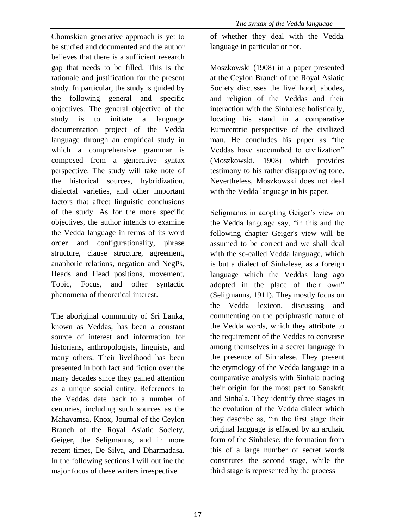Chomskian generative approach is yet to be studied and documented and the author believes that there is a sufficient research gap that needs to be filled. This is the rationale and justification for the present study. In particular, the study is guided by the following general and specific objectives. The general objective of the study is to initiate a language documentation project of the Vedda language through an empirical study in which a comprehensive grammar is composed from a generative syntax perspective. The study will take note of the historical sources, hybridization, dialectal varieties, and other important factors that affect linguistic conclusions of the study. As for the more specific objectives, the author intends to examine the Vedda language in terms of its word order and configurationality, phrase structure, clause structure, agreement, anaphoric relations, negation and NegPs, Heads and Head positions, movement, Topic, Focus, and other syntactic phenomena of theoretical interest.

The aboriginal community of Sri Lanka, known as Veddas, has been a constant source of interest and information for historians, anthropologists, linguists, and many others. Their livelihood has been presented in both fact and fiction over the many decades since they gained attention as a unique social entity. References to the Veddas date back to a number of centuries, including such sources as the Mahavamsa, Knox, Journal of the Ceylon Branch of the Royal Asiatic Society, Geiger, the Seligmanns, and in more recent times, De Silva, and Dharmadasa. In the following sections I will outline the major focus of these writers irrespective

of whether they deal with the Vedda language in particular or not.

Moszkowski (1908) in a paper presented at the Ceylon Branch of the Royal Asiatic Society discusses the livelihood, abodes, and religion of the Veddas and their interaction with the Sinhalese holistically, locating his stand in a comparative Eurocentric perspective of the civilized man. He concludes his paper as "the Veddas have succumbed to civilization" (Moszkowski, 1908) which provides testimony to his rather disapproving tone. Nevertheless, Moszkowski does not deal with the Vedda language in his paper.

Seligmanns in adopting Geiger's view on the Vedda language say, "in this and the following chapter Geiger's view will be assumed to be correct and we shall deal with the so-called Vedda language, which is but a dialect of Sinhalese, as a foreign language which the Veddas long ago adopted in the place of their own" (Seligmanns, 1911). They mostly focus on the Vedda lexicon, discussing and commenting on the periphrastic nature of the Vedda words, which they attribute to the requirement of the Veddas to converse among themselves in a secret language in the presence of Sinhalese. They present the etymology of the Vedda language in a comparative analysis with Sinhala tracing their origin for the most part to Sanskrit and Sinhala. They identify three stages in the evolution of the Vedda dialect which they describe as, "in the first stage their original language is effaced by an archaic form of the Sinhalese; the formation from this of a large number of secret words constitutes the second stage, while the third stage is represented by the process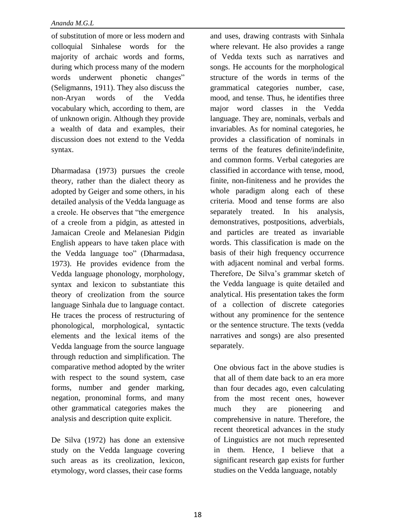of substitution of more or less modern and colloquial Sinhalese words for the majority of archaic words and forms, during which process many of the modern words underwent phonetic changes" (Seligmanns, 1911). They also discuss the non-Aryan words of the Vedda vocabulary which, according to them, are of unknown origin. Although they provide a wealth of data and examples, their discussion does not extend to the Vedda syntax.

Dharmadasa (1973) pursues the creole theory, rather than the dialect theory as adopted by Geiger and some others, in his detailed analysis of the Vedda language as a creole. He observes that "the emergence of a creole from a pidgin, as attested in Jamaican Creole and Melanesian Pidgin English appears to have taken place with the Vedda language too" (Dharmadasa, 1973). He provides evidence from the Vedda language phonology, morphology, syntax and lexicon to substantiate this theory of creolization from the source language Sinhala due to language contact. He traces the process of restructuring of phonological, morphological, syntactic elements and the lexical items of the Vedda language from the source language through reduction and simplification. The comparative method adopted by the writer with respect to the sound system, case forms, number and gender marking, negation, pronominal forms, and many other grammatical categories makes the analysis and description quite explicit.

De Silva (1972) has done an extensive study on the Vedda language covering such areas as its creolization, lexicon, etymology, word classes, their case forms

and uses, drawing contrasts with Sinhala where relevant. He also provides a range of Vedda texts such as narratives and songs. He accounts for the morphological structure of the words in terms of the grammatical categories number, case, mood, and tense. Thus, he identifies three major word classes in the Vedda language. They are, nominals, verbals and invariables. As for nominal categories, he provides a classification of nominals in terms of the features definite/indefinite, and common forms. Verbal categories are classified in accordance with tense, mood, finite, non-finiteness and he provides the whole paradigm along each of these criteria. Mood and tense forms are also separately treated. In his analysis, demonstratives, postpositions, adverbials, and particles are treated as invariable words. This classification is made on the basis of their high frequency occurrence with adjacent nominal and verbal forms. Therefore, De Silva's grammar sketch of the Vedda language is quite detailed and analytical. His presentation takes the form of a collection of discrete categories without any prominence for the sentence or the sentence structure. The texts (vedda narratives and songs) are also presented separately.

One obvious fact in the above studies is that all of them date back to an era more than four decades ago, even calculating from the most recent ones, however much they are pioneering and comprehensive in nature. Therefore, the recent theoretical advances in the study of Linguistics are not much represented in them. Hence, I believe that a significant research gap exists for further studies on the Vedda language, notably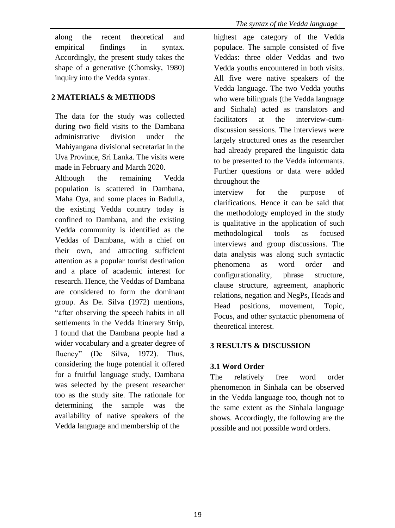along the recent theoretical and empirical findings in syntax. Accordingly, the present study takes the shape of a generative (Chomsky, 1980) inquiry into the Vedda syntax.

# **2 MATERIALS & METHODS**

The data for the study was collected during two field visits to the Dambana administrative division under the Mahiyangana divisional secretariat in the Uva Province, Sri Lanka. The visits were made in February and March 2020.

Although the remaining Vedda population is scattered in Dambana, Maha Oya, and some places in Badulla, the existing Vedda country today is confined to Dambana, and the existing Vedda community is identified as the Veddas of Dambana, with a chief on their own, and attracting sufficient attention as a popular tourist destination and a place of academic interest for research. Hence, the Veddas of Dambana are considered to form the dominant group. As De. Silva (1972) mentions, "after observing the speech habits in all settlements in the Vedda Itinerary Strip, I found that the Dambana people had a wider vocabulary and a greater degree of fluency" (De Silva, 1972). Thus, considering the huge potential it offered for a fruitful language study, Dambana was selected by the present researcher too as the study site. The rationale for determining the sample was the availability of native speakers of the Vedda language and membership of the

highest age category of the Vedda populace. The sample consisted of five Veddas: three older Veddas and two Vedda youths encountered in both visits. All five were native speakers of the Vedda language. The two Vedda youths who were bilinguals (the Vedda language and Sinhala) acted as translators and facilitators at the interview-cumdiscussion sessions. The interviews were largely structured ones as the researcher had already prepared the linguistic data to be presented to the Vedda informants. Further questions or data were added throughout the

interview for the purpose of clarifications. Hence it can be said that the methodology employed in the study is qualitative in the application of such methodological tools as focused interviews and group discussions. The data analysis was along such syntactic phenomena as word order and configurationality, phrase structure, clause structure, agreement, anaphoric relations, negation and NegPs, Heads and Head positions, movement, Topic, Focus, and other syntactic phenomena of theoretical interest.

# **3 RESULTS & DISCUSSION**

# **3.1 Word Order**

The relatively free word order phenomenon in Sinhala can be observed in the Vedda language too, though not to the same extent as the Sinhala language shows. Accordingly, the following are the possible and not possible word orders.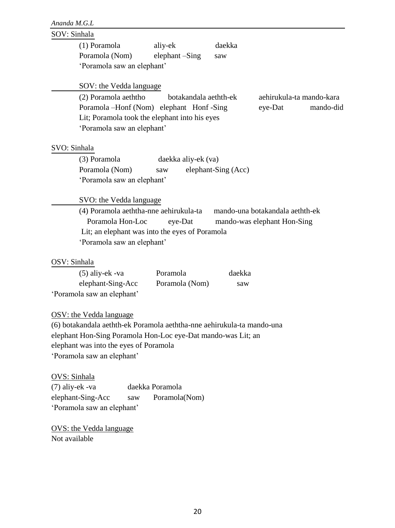# SOV: Sinhala

|              | (1) Poramola                                               | aliy-ek               | daekka              |                                                                |
|--------------|------------------------------------------------------------|-----------------------|---------------------|----------------------------------------------------------------|
|              | Poramola (Nom)                                             | elephant -Sing        | saw                 |                                                                |
|              | 'Poramola saw an elephant'                                 |                       |                     |                                                                |
|              | SOV: the Vedda language                                    |                       |                     |                                                                |
|              | (2) Poramola aeththo                                       | botakandala aethth-ek |                     | aehirukula-ta mando-kara                                       |
|              | Poramola –Honf (Nom) elephant Honf-Sing                    |                       |                     | eye-Dat<br>mando-did                                           |
|              | Lit; Poramola took the elephant into his eyes              |                       |                     |                                                                |
|              | 'Poramola saw an elephant'                                 |                       |                     |                                                                |
|              |                                                            |                       |                     |                                                                |
| SVO: Sinhala |                                                            |                       |                     |                                                                |
|              | (3) Poramola                                               | daekka aliy-ek (va)   |                     |                                                                |
|              | Poramola (Nom)                                             | saw                   | elephant-Sing (Acc) |                                                                |
|              | 'Poramola saw an elephant'                                 |                       |                     |                                                                |
|              | SVO: the Vedda language                                    |                       |                     |                                                                |
|              | (4) Poramola aeththa-nne aehirukula-ta<br>Poramola Hon-Loc | eye-Dat               |                     | mando-una botakandala aethth-ek<br>mando-was elephant Hon-Sing |
|              | Lit; an elephant was into the eyes of Poramola             |                       |                     |                                                                |
|              | 'Poramola saw an elephant'                                 |                       |                     |                                                                |
| OSV: Sinhala |                                                            |                       |                     |                                                                |

# OSV<sub></sub>

| $(5)$ aliy-ek -va          | Poramola       | daekka |
|----------------------------|----------------|--------|
| elephant-Sing-Acc          | Poramola (Nom) | saw    |
| 'Poramola saw an elephant' |                |        |

### OSV: the Vedda language

(6) botakandala aethth-ek Poramola aeththa-nne aehirukula-ta mando-una elephant Hon-Sing Poramola Hon-Loc eye-Dat mando-was Lit; an elephant was into the eyes of Poramola 'Poramola saw an elephant'

## OVS: Sinhala

(7) aliy-ek -va daekka Poramola elephant-Sing-Acc saw Poramola(Nom) 'Poramola saw an elephant'

OVS: the Vedda language Not available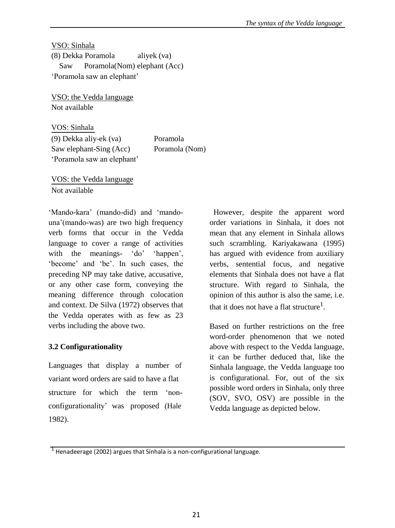VSO: Sinhala (8) Dekka Poramola aliyek (va) Saw Poramola(Nom) elephant (Acc) 'Poramola saw an elephant'

VSO: the Vedda language Not available

VOS: Sinhala (9) Dekka aliy-ek (va) Poramola Saw elephant-Sing (Acc) Poramola (Nom) 'Poramola saw an elephant'

VOS: the Vedda language Not available

'Mando-kara' (mando-did) and 'mandouna'(mando-was) are two high frequency verb forms that occur in the Vedda language to cover a range of activities with the meanings- 'do' 'happen', 'become' and 'be'. In such cases, the preceding NP may take dative, accusative, or any other case form, conveying the meaning difference through colocation and context. De Silva (1972) observes that the Vedda operates with as few as 23 verbs including the above two.

# **3.2 Configurationality**

Languages that display a number of variant word orders are said to have a flat structure for which the term 'nonconfigurationality' was proposed (Hale 1982).

However, despite the apparent word order variations in Sinhala, it does not mean that any element in Sinhala allows such scrambling. Kariyakawana (1995) has argued with evidence from auxiliary verbs, sentential focus, and negative elements that Sinhala does not have a flat structure. With regard to Sinhala, the opinion of this author is also the same, i.e. that it does not have a flat structure<sup>1</sup>.

Based on further restrictions on the free word-order phenomenon that we noted above with respect to the Vedda language, it can be further deduced that, like the Sinhala language, the Vedda language too is configurational. For, out of the six possible word orders in Sinhala, only three (SOV, SVO, OSV) are possible in the Vedda language as depicted below.

 $<sup>1</sup>$  Henadeerage (2002) argues that Sinhala is a non-configurational language.</sup>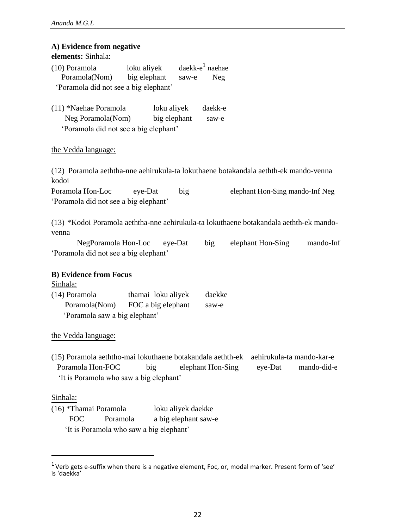| A) Evidence from negative<br>elements: Sinhala:                                                                                                                                                              |
|--------------------------------------------------------------------------------------------------------------------------------------------------------------------------------------------------------------|
| daekk-e $1$ naehae<br>loku aliyek<br>(10) Poramola<br>Poramola(Nom)<br>big elephant<br>saw-e<br><b>Neg</b><br>'Poramola did not see a big elephant'                                                          |
| (11) *Naehae Poramola<br>loku aliyek<br>daekk-e<br>Neg Poramola(Nom)<br>big elephant<br>saw-e<br>'Poramola did not see a big elephant'                                                                       |
| the Vedda language:                                                                                                                                                                                          |
| (12) Poramola aeththa-nne aehirukula-ta lokuthaene botakandala aethth-ek mando-venna<br>kodoi                                                                                                                |
| Poramola Hon-Loc<br>eye-Dat<br>big<br>elephant Hon-Sing mando-Inf Neg<br>'Poramola did not see a big elephant'                                                                                               |
| (13) *Kodoi Poramola aeththa-nne aehirukula-ta lokuthaene botakandala aethth-ek mando-<br>venna<br>NegPoramola Hon-Loc eye-Dat<br>big<br>elephant Hon-Sing<br>mando-Inf                                      |
| 'Poramola did not see a big elephant'                                                                                                                                                                        |
| <b>B)</b> Evidence from Focus<br>Sinhala:<br>(14) Poramola<br>daekke<br>thamai loku aliyek<br>Poramola(Nom) FOC a big elephant<br>saw-e<br>'Poramola saw a big elephant'                                     |
| the Vedda language:                                                                                                                                                                                          |
| (15) Poramola aeththo-mai lokuthaene botakandala aethth-ek<br>aehirukula-ta mando-kar-e<br>Poramola Hon-FOC<br>big<br>elephant Hon-Sing<br>eye-Dat<br>mando-did-e<br>'It is Poramola who saw a big elephant' |
| Sinhala:<br>(16) *Thamai Poramola<br>loku aliyek daekke<br><b>FOC</b><br>Poramola<br>a big elephant saw-e<br>'It is Poramola who saw a big elephant'                                                         |

 $1$ Verb gets e-suffix when there is a negative element, Foc, or, modal marker. Present form of 'see' is 'daekka'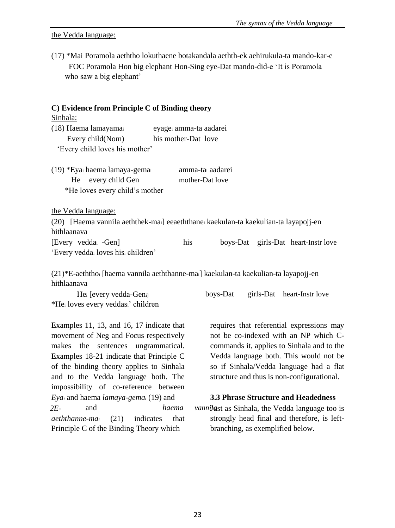the Vedda language:

(17) \*Mai Poramola aeththo lokuthaene botakandala aethth-ek aehirukula-ta mando-kar-e FOC Poramola Hon big elephant Hon-Sing eye-Dat mando-did-e 'It is Poramola who saw a big elephant'

| $C$ ) Evidence from Principle C of Binding theory                                                 |                                                 |  |  |                                     |
|---------------------------------------------------------------------------------------------------|-------------------------------------------------|--|--|-------------------------------------|
| Sinhala:                                                                                          |                                                 |  |  |                                     |
| (18) Haema lamayama                                                                               | eyagei amma-ta aadarei                          |  |  |                                     |
| Every child(Nom)                                                                                  | his mother-Dat love                             |  |  |                                     |
| 'Every child loves his mother'                                                                    |                                                 |  |  |                                     |
| (19) *Eyai haema lamaya-gemai<br>He every child Gen<br>*He loves every child's mother             | amma-ta <sub>i</sub> aadarei<br>mother-Dat love |  |  |                                     |
| the Vedda language:                                                                               |                                                 |  |  |                                     |
| (20) [Haema vannila aeththek-mai] eeaeththane kaekulan-ta kaekulian-ta layapojj-en<br>hithlaanava |                                                 |  |  |                                     |
| [Every vedda <sub>i</sub> -Gen]                                                                   | his                                             |  |  | boys-Dat girls-Dat heart-Instr love |
| 'Every veddai loves hisi children'                                                                |                                                 |  |  |                                     |
| $(21)*F$ -aeththo: [haema vannila aeththanne-mail kaekulan-ta kaekulian-ta lavanoii-en            |                                                 |  |  |                                     |

(21)\*E-aeththo<sup>i</sup> [haema vannila aeththanne-mai] kaekulan-ta kaekulian-ta layapojj-en hithlaanava

| Hei [every vedda-Geni]             | boys-Dat | girls-Dat heart-Instr love |
|------------------------------------|----------|----------------------------|
| *Hei loves every veddasi' children |          |                            |

Examples 11, 13, and 16, 17 indicate that movement of Neg and Focus respectively makes the sentences ungrammatical. Examples 18-21 indicate that Principle C of the binding theory applies to Sinhala and to the Vedda language both. The impossibility of co-reference between *Eya<sup>i</sup>* and haema *lamaya-gema<sup>i</sup>* (19) and *aeththanne-ma<sup>i</sup>* (21) indicates that *aeththoi*Principle C of the Binding Theory which *2E-*

requires that referential expressions may not be co-indexed with an NP which Ccommands it, applies to Sinhala and to the Vedda language both. This would not be so if Sinhala/Vedda language had a flat structure and thus is non-configurational.

## **3.3 Phrase Structure and Headedness**

and *haema vannilast* as Sinhala, the Vedda language too is strongly head final and therefore, is leftbranching, as exemplified below.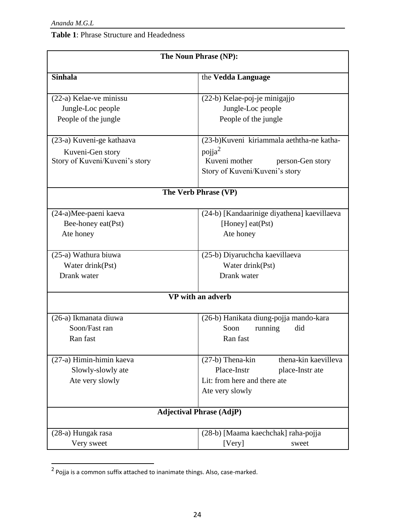# **Table 1**: Phrase Structure and Headedness

| The Noun Phrase (NP):          |                                             |  |  |
|--------------------------------|---------------------------------------------|--|--|
| <b>Sinhala</b>                 | the Vedda Language                          |  |  |
| (22-a) Kelae-ve minissu        | (22-b) Kelae-poj-je minigajjo               |  |  |
| Jungle-Loc people              | Jungle-Loc people                           |  |  |
| People of the jungle           | People of the jungle                        |  |  |
| (23-a) Kuveni-ge kathaava      | (23-b)Kuveni kiriammala aeththa-ne katha-   |  |  |
| Kuveni-Gen story               | pojja $^2$                                  |  |  |
| Story of Kuveni/Kuveni's story | Kuveni mother<br>person-Gen story           |  |  |
|                                | Story of Kuveni/Kuveni's story              |  |  |
|                                | The Verb Phrase (VP)                        |  |  |
| (24-a)Mee-paeni kaeva          | (24-b) [Kandaarinige diyathena] kaevillaeva |  |  |
| Bee-honey eat(Pst)             | [Honey] eat(Pst)                            |  |  |
| Ate honey                      | Ate honey                                   |  |  |
| (25-a) Wathura biuwa           | (25-b) Diyaruchcha kaevillaeva              |  |  |
| Water drink(Pst)               | Water drink(Pst)                            |  |  |
| Drank water                    | Drank water                                 |  |  |
|                                | VP with an adverb                           |  |  |
| (26-a) Ikmanata diuwa          | (26-b) Hanikata diung-pojja mando-kara      |  |  |
| Soon/Fast ran                  | Soon<br>running<br>did                      |  |  |
| Ran fast                       | Ran fast                                    |  |  |
| (27-a) Himin-himin kaeva       | (27-b) Thena-kin<br>thena-kin kaevilleva    |  |  |
| Slowly-slowly ate              | Place-Instr<br>place-Instr ate              |  |  |
| Ate very slowly                | Lit: from here and there ate                |  |  |
|                                | Ate very slowly                             |  |  |
|                                | <b>Adjectival Phrase (AdjP)</b>             |  |  |
| (28-a) Hungak rasa             | (28-b) [Maama kaechchak] raha-pojja         |  |  |
| Very sweet                     | [Very]<br>sweet                             |  |  |

 $<sup>2</sup>$  Pojja is a common suffix attached to inanimate things. Also, case-marked.</sup>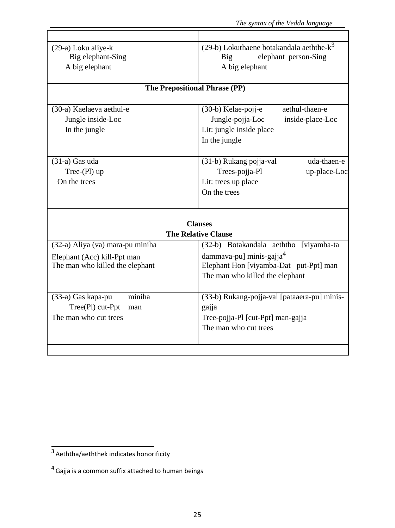| (29-a) Loku aliye-k              | (29-b) Lokuthaene botakandala aeththe- $k^3$ |  |  |
|----------------------------------|----------------------------------------------|--|--|
| Big elephant-Sing                | elephant person-Sing<br>Big                  |  |  |
| A big elephant                   | A big elephant                               |  |  |
|                                  |                                              |  |  |
| The Prepositional Phrase (PP)    |                                              |  |  |
|                                  | aethul-thaen-e                               |  |  |
| (30-a) Kaelaeva aethul-e         | (30-b) Kelae-pojj-e                          |  |  |
| Jungle inside-Loc                | Jungle-pojja-Loc<br>inside-place-Loc         |  |  |
| In the jungle                    | Lit: jungle inside place                     |  |  |
|                                  | In the jungle                                |  |  |
| $(31-a)$ Gas uda                 | (31-b) Rukang pojja-val<br>uda-thaen-e       |  |  |
| Tree- $(Pl)$ up                  | Trees-pojja-Pl<br>up-place-Loc               |  |  |
| On the trees                     | Lit: trees up place                          |  |  |
|                                  | On the trees                                 |  |  |
|                                  |                                              |  |  |
|                                  |                                              |  |  |
|                                  | <b>Clauses</b>                               |  |  |
|                                  | <b>The Relative Clause</b>                   |  |  |
| (32-a) Aliya (va) mara-pu miniha | (32-b) Botakandala aeththo [viyamba-ta       |  |  |
| Elephant (Acc) kill-Ppt man      | dammava-pu] minis-gajja <sup>4</sup>         |  |  |
| The man who killed the elephant  | Elephant Hon [viyamba-Dat put-Ppt] man       |  |  |
|                                  | The man who killed the elephant              |  |  |
|                                  |                                              |  |  |
| miniha<br>(33-a) Gas kapa-pu     | (33-b) Rukang-pojja-val [pataaera-pu] minis- |  |  |
| Tree(Pl) cut-Ppt<br>man          | gajja                                        |  |  |
| The man who cut trees            | Tree-pojja-Pl [cut-Ppt] man-gajja            |  |  |
|                                  | The man who cut trees                        |  |  |
|                                  |                                              |  |  |
|                                  |                                              |  |  |

<sup>3</sup> Aeththa/aeththek indicates honorificity

 $<sup>4</sup>$  Gajja is a common suffix attached to human beings</sup>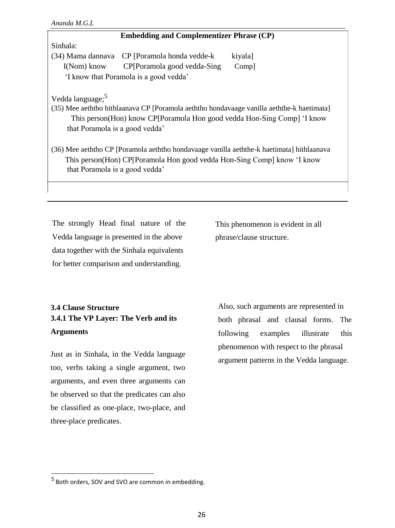### **Embedding and Complementizer Phrase (CP)**

### Sinhala:

 $(34)$  Mama dannava CP [Poramola honda vedde-k kiyala] I(Nom) know CP[Poramola good vedda-Sing Comp] 'I know that Poramola is a good vedda'

Vedda language:<sup>5</sup>

(35) Mee aeththo hithlaanava CP [Poramola aeththo hondavaage vanilla aeththe-k haetimata] This person(Hon) know CP[Poramola Hon good vedda Hon-Sing Comp] 'I know that Poramola is a good vedda'

(36) Mee aeththo CP [Poramola aeththo hondavaage vanilla aeththe-k haetimata] hithlaanava This person(Hon) CP[Poramola Hon good vedda Hon-Sing Comp] know 'I know that Poramola is a good vedda'

The strongly Head final nature of the Vedda language is presented in the above data together with the Sinhala equivalents for better comparison and understanding.

This phenomenon is evident in all phrase/clause structure.

# **3.4 Clause Structure 3.4.1 The VP Layer: The Verb and its Arguments**

Just as in Sinhala, in the Vedda language too, verbs taking a single argument, two arguments, and even three arguments can be observed so that the predicates can also be classified as one-place, two-place, and three-place predicates.

Also, such arguments are represented in both phrasal and clausal forms. The following examples illustrate this phenomenon with respect to the phrasal argument patterns in the Vedda language.

<sup>&</sup>lt;sup>5</sup> Both orders, SOV and SVO are common in embedding.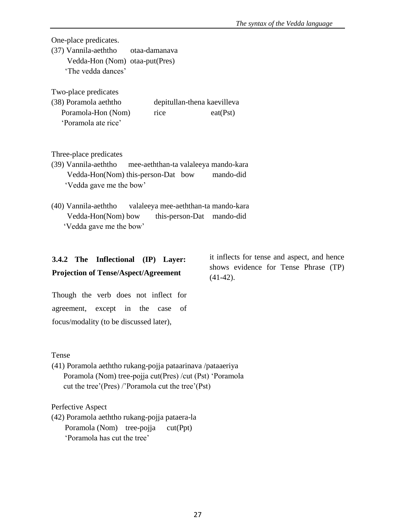One-place predicates.

(37) Vannila-aeththo otaa-damanava Vedda-Hon (Nom) otaa-put(Pres) 'The vedda dances'

Two-place predicates

| (38) Poramola aeththo |      | depitullan-thena kaevilleva |
|-----------------------|------|-----------------------------|
| Poramola-Hon (Nom)    | rice | eat(Pst)                    |
| 'Poramola ate rice'   |      |                             |

Three-place predicates

- (39) Vannila-aeththo mee-aeththan-ta valaleeya mando-kara Vedda-Hon(Nom) this-person-Dat bow mando-did 'Vedda gave me the bow'
- (40) Vannila-aeththo valaleeya mee-aeththan-ta mando-kara Vedda-Hon(Nom) bow this-person-Dat mando-did 'Vedda gave me the bow'

# **3.4.2 The Inflectional (IP) Layer: Projection of Tense/Aspect/Agreement**

Though the verb does not inflect for agreement, except in the case of focus/modality (to be discussed later),

Tense

(41) Poramola aeththo rukang-pojja pataarinava /pataaeriya Poramola (Nom) tree-pojja cut(Pres) /cut (Pst) 'Poramola cut the tree'(Pres) /'Poramola cut the tree'(Pst)

Perfective Aspect

(42) Poramola aeththo rukang-pojja pataera-la Poramola (Nom) tree-pojja cut(Ppt) 'Poramola has cut the tree'

it inflects for tense and aspect, and hence shows evidence for Tense Phrase (TP)  $(41-42)$ .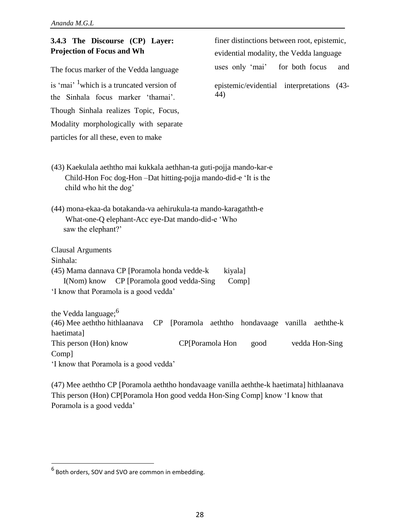is 'mai' <sup>1</sup>which is a truncated version of epistemic/evidential interpretations (43the Sinhala focus marker 'thamai'. 44) Though Sinhala realizes Topic, Focus, Modality morphologically with separate particles for all these, even to make

**3.4.3 The Discourse (CP) Layer:** finer distinctions between root, epistemic, **Projection of Focus and Wh** evidential modality, the Vedda language

The focus marker of the Vedda language uses only 'mai' for both focus and

- (43) Kaekulala aeththo mai kukkala aethhan-ta guti-pojja mando-kar-e Child-Hon Foc dog-Hon –Dat hitting-pojja mando-did-e 'It is the child who hit the dog'
- (44) mona-ekaa-da botakanda-va aehirukula-ta mando-karagathth-e What-one-Q elephant-Acc eye-Dat mando-did-e 'Who saw the elephant?'

Clausal Arguments Sinhala: (45) Mama dannava CP [Poramola honda vedde-k kiyala]

I(Nom) know CP [Poramola good vedda-Sing Comp] 'I know that Poramola is a good vedda'

the Vedda language;<sup>6</sup> (46) Mee aeththo hithlaanava CP [Poramola aeththo hondavaage vanilla aeththe-k haetimata] This person (Hon) know CP[Poramola Hon good vedda Hon-Sing Comp] 'I know that Poramola is a good vedda'

(47) Mee aeththo CP [Poramola aeththo hondavaage vanilla aeththe-k haetimata] hithlaanava This person (Hon) CP[Poramola Hon good vedda Hon-Sing Comp] know 'I know that Poramola is a good vedda'

<sup>6</sup> Both orders, SOV and SVO are common in embedding.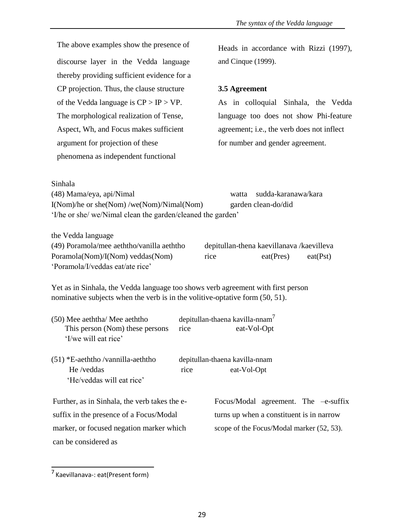The above examples show the presence of discourse layer in the Vedda language thereby providing sufficient evidence for a CP projection. Thus, the clause structure of the Vedda language is  $CP > IP > VP$ . The morphological realization of Tense, Aspect, Wh, and Focus makes sufficient argument for projection of these phenomena as independent functional

Heads in accordance with Rizzi (1997), and Cinque (1999).

# **3.5 Agreement**

As in colloquial Sinhala, the Vedda language too does not show Phi-feature agreement; i.e., the verb does not inflect for number and gender agreement.

| watta                                                       | sudda-karanawa/kara |
|-------------------------------------------------------------|---------------------|
|                                                             | garden clean-do/did |
| 'I/he or she/ we/Nimal clean the garden/cleaned the garden' |                     |
|                                                             |                     |

the Vedda language

Sinhala

| (49) Poramola/mee aeththo/vanilla aeththo | depitullan-thena kaevillanava /kaevilleva |           |          |
|-------------------------------------------|-------------------------------------------|-----------|----------|
| Poramola(Nom)/I(Nom) veddas(Nom)          | rice                                      | eat(Pres) | eat(Pst) |
| 'Poramola/I/veddas eat/ate rice'          |                                           |           |          |

Yet as in Sinhala, the Vedda language too shows verb agreement with first person nominative subjects when the verb is in the volitive-optative form (50, 51).

| (50) Mee aeththa/ Mee aeththo<br>This person (Nom) these persons<br>'I/we will eat rice' | rice | depitullan-thaena kavilla-nnam <sup>7</sup><br>eat-Vol-Opt |  |  |
|------------------------------------------------------------------------------------------|------|------------------------------------------------------------|--|--|
| $(51)$ *E-aeththo /vannilla-aeththo<br>He /veddas<br>'He/veddas will eat rice'           | rice | depitullan-thaena kavilla-nnam<br>eat-Vol-Opt              |  |  |
| Further, as in Sinhala, the verb takes the e-                                            |      | Focus/Modal agreement. The $-e$ -suffix                    |  |  |
| suffix in the presence of a Focus/Modal                                                  |      | turns up when a constituent is in narrow                   |  |  |
| marker, or focused negation marker which                                                 |      | scope of the Focus/Modal marker (52, 53).                  |  |  |
| can be considered as                                                                     |      |                                                            |  |  |

<sup>7</sup> Kaevillanava-: eat(Present form)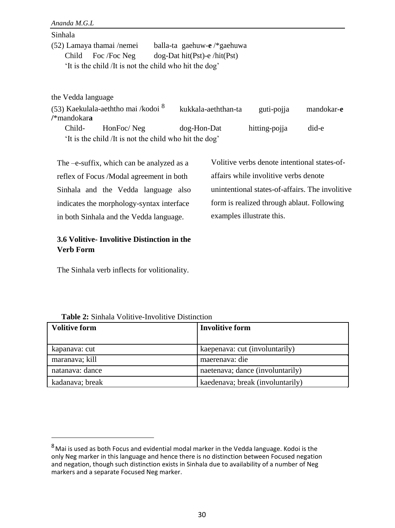| Sinhala |                           |                                                        |
|---------|---------------------------|--------------------------------------------------------|
|         | (52) Lamaya thamai /nemei | balla-ta gaehuw-e $/*$ gaehuwa                         |
|         | Child Foc /Foc Neg        | $dog$ -Dat hit(Pst)-e /hit(Pst)                        |
|         |                           | 'It is the child /It is not the child who hit the dog' |
|         |                           |                                                        |

the Vedda language

(53) Kaekulala-aeththo mai /kodoi <sup>8</sup> kukkala-aeththan-ta guti-pojja mandokar-**e /**\*mandokar**a** Child- HonFoc/ Neg dog-Hon-Dat hitting-pojja did-e 'It is the child /It is not the child who hit the dog'

The –e-suffix, which can be analyzed as a reflex of Focus /Modal agreement in both Sinhala and the Vedda language also indicates the morphology-syntax interface in both Sinhala and the Vedda language.

Volitive verbs denote intentional states-ofaffairs while involitive verbs denote unintentional states-of-affairs. The involitive form is realized through ablaut. Following examples illustrate this.

# **3.6 Volitive- Involitive Distinction in the Verb Form**

The Sinhala verb inflects for volitionality.

| <b>Table 2:</b> Sinhala Volitive-Involitive Distinction |
|---------------------------------------------------------|
|---------------------------------------------------------|

| <b>Volitive form</b> | <b>Involitive form</b>           |
|----------------------|----------------------------------|
|                      |                                  |
| kapanava: cut        | kaepenava: cut (involuntarily)   |
| maranava; kill       | maerenava: die                   |
| natanava: dance      | naetenava; dance (involuntarily) |
| kadanava; break      | kaedenava; break (involuntarily) |

 $8$ Mai is used as both Focus and evidential modal marker in the Vedda language. Kodoi is the only Neg marker in this language and hence there is no distinction between Focused negation and negation, though such distinction exists in Sinhala due to availability of a number of Neg markers and a separate Focused Neg marker.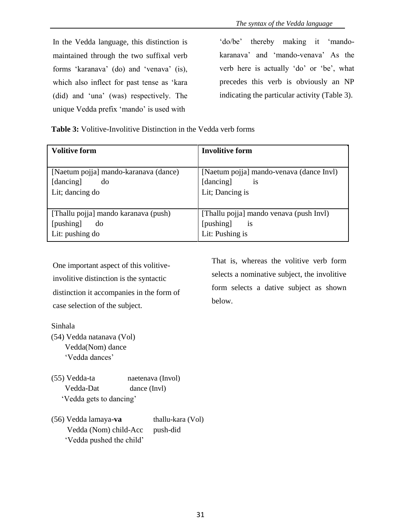In the Vedda language, this distinction is maintained through the two suffixal verb forms 'karanava' (do) and 'venava' (is), which also inflect for past tense as 'kara (did) and 'una' (was) respectively. The unique Vedda prefix 'mando' is used with

'do/be' thereby making it 'mandokaranava' and 'mando-venava' As the verb here is actually 'do' or 'be', what precedes this verb is obviously an NP indicating the particular activity (Table 3).

**Table 3:** Volitive-Involitive Distinction in the Vedda verb forms

| Volitive form                         | <b>Involitive form</b>                   |
|---------------------------------------|------------------------------------------|
|                                       |                                          |
| [Naetum pojja] mando-karanava (dance) | [Naetum pojja] mando-venava (dance Invl) |
| [dancing]<br>do                       | [dancing]<br><i>is</i>                   |
| Lit; dancing do                       | Lit; Dancing is                          |
|                                       |                                          |
| [Thallu pojja] mando karanava (push)  | [Thallu pojja] mando venava (push Invl)  |
| [pushing]<br>do                       | [pushing]<br><sup>1</sup> S              |
| Lit: pushing do                       | Lit: Pushing is                          |

One important aspect of this volitiveinvolitive distinction is the syntactic distinction it accompanies in the form of case selection of the subject.

Sinhala

- (54) Vedda natanava (Vol) Vedda(Nom) dance 'Vedda dances'
- (55) Vedda-ta naetenava (Invol) Vedda-Dat dance (Invl) 'Vedda gets to dancing'
- (56) Vedda lamaya-**va** thallu-kara (Vol) Vedda (Nom) child-Acc push-did 'Vedda pushed the child'

That is, whereas the volitive verb form selects a nominative subject, the involitive form selects a dative subject as shown below.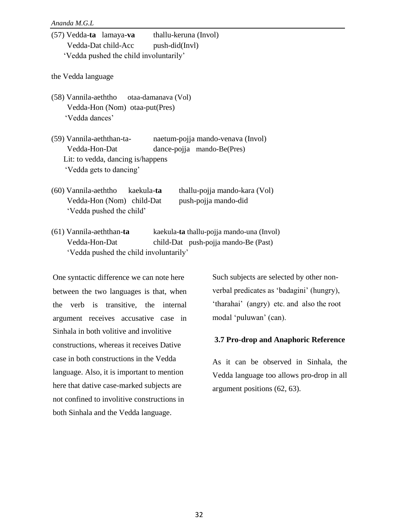| (57) Vedda-ta lamaya-va thallu-keruna (Invol)                         |
|-----------------------------------------------------------------------|
| Vedda-Dat child-Acc push-did(Invl)                                    |
| 'Vedda pushed the child involuntarily'                                |
|                                                                       |
| the Vedda language                                                    |
|                                                                       |
| (58) Vannila-aeththo otaa-damanava (Vol)                              |
| Vedda-Hon (Nom) otaa-put(Pres)                                        |
| 'Vedda dances'                                                        |
|                                                                       |
| (59) Vannila-aeththan-ta-<br>naetum-pojja mando-venava (Invol)        |
| Vedda-Hon-Dat<br>dance-pojja mando-Be(Pres)                           |
| Lit: to vedda, dancing is/happens                                     |
| 'Vedda gets to dancing'                                               |
|                                                                       |
| thallu-pojja mando-kara (Vol)<br>(60) Vannila-aeththo kaekula-ta      |
| Vedda-Hon (Nom) child-Dat<br>push-pojja mando-did                     |
| 'Vedda pushed the child'                                              |
| (61) Vannila-aeththan-ta<br>kaekula-ta thallu-pojja mando-una (Invol) |
| Vedda-Hon-Dat                                                         |
| child-Dat push-pojja mando-Be (Past)                                  |
| 'Vedda pushed the child involuntarily'                                |
|                                                                       |

One syntactic difference we can note here between the two languages is that, when the verb is transitive, the internal argument receives accusative case in Sinhala in both volitive and involitive constructions, whereas it receives Dative case in both constructions in the Vedda language. Also, it is important to mention here that dative case-marked subjects are not confined to involitive constructions in both Sinhala and the Vedda language.

Such subjects are selected by other nonverbal predicates as 'badagini' (hungry), 'tharahai' (angry) etc. and also the root modal 'puluwan' (can).

### **3.7 Pro-drop and Anaphoric Reference**

As it can be observed in Sinhala, the Vedda language too allows pro-drop in all argument positions (62, 63).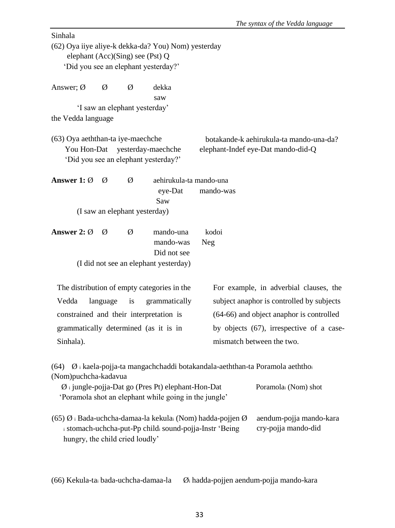|                                                  |          |                               |                                                              |                                                              | The syntax of the Vedda language                                                     |  |  |
|--------------------------------------------------|----------|-------------------------------|--------------------------------------------------------------|--------------------------------------------------------------|--------------------------------------------------------------------------------------|--|--|
| Sinhala                                          |          |                               |                                                              |                                                              |                                                                                      |  |  |
|                                                  |          |                               | (62) Oya iiye aliye-k dekka-da? You) Nom) yesterday          |                                                              |                                                                                      |  |  |
| elephant (Acc)(Sing) see (Pst) Q                 |          |                               |                                                              |                                                              |                                                                                      |  |  |
| 'Did you see an elephant yesterday?'             |          |                               |                                                              |                                                              |                                                                                      |  |  |
| Answer; $\varnothing$                            | Ø        | Ø                             | dekka                                                        |                                                              |                                                                                      |  |  |
|                                                  |          |                               | saw                                                          |                                                              |                                                                                      |  |  |
|                                                  |          | 'I saw an elephant yesterday' |                                                              |                                                              |                                                                                      |  |  |
| the Vedda language                               |          |                               |                                                              |                                                              |                                                                                      |  |  |
|                                                  |          |                               |                                                              |                                                              |                                                                                      |  |  |
| (63) Oya aeththan-ta iye-maechche<br>You Hon-Dat |          |                               |                                                              |                                                              | botakande-k aehirukula-ta mando-una-da?                                              |  |  |
|                                                  |          |                               | yesterday-maechche<br>'Did you see an elephant yesterday?'   |                                                              | elephant-Indef eye-Dat mando-did-Q                                                   |  |  |
|                                                  |          |                               |                                                              |                                                              |                                                                                      |  |  |
| Answer 1: $\varnothing$                          | Ø        | Ø                             | aehirukula-ta mando-una                                      |                                                              |                                                                                      |  |  |
|                                                  |          |                               | eye-Dat                                                      | mando-was                                                    |                                                                                      |  |  |
|                                                  |          |                               | Saw                                                          |                                                              |                                                                                      |  |  |
|                                                  |          | (I saw an elephant yesterday) |                                                              |                                                              |                                                                                      |  |  |
| Answer 2: $\varnothing$                          | Ø        | Ø                             | mando-una                                                    | kodoi                                                        |                                                                                      |  |  |
|                                                  |          |                               | mando-was                                                    | <b>Neg</b>                                                   |                                                                                      |  |  |
|                                                  |          |                               | Did not see                                                  |                                                              |                                                                                      |  |  |
|                                                  |          |                               | (I did not see an elephant yesterday)                        |                                                              |                                                                                      |  |  |
|                                                  |          |                               |                                                              |                                                              |                                                                                      |  |  |
|                                                  |          |                               | The distribution of empty categories in the                  |                                                              | For example, in adverbial clauses, the                                               |  |  |
| Vedda                                            | language | is                            | grammatically                                                |                                                              | subject anaphor is controlled by subjects                                            |  |  |
| constrained and their interpretation is          |          |                               |                                                              | (64-66) and object anaphor is controlled                     |                                                                                      |  |  |
| grammatically determined (as it is in            |          |                               |                                                              |                                                              | by objects (67), irrespective of a case-                                             |  |  |
| Sinhala).                                        |          |                               |                                                              |                                                              | mismatch between the two.                                                            |  |  |
|                                                  |          |                               |                                                              |                                                              |                                                                                      |  |  |
| (64)                                             |          |                               |                                                              |                                                              | $\emptyset$ i kaela-pojja-ta mangachchaddi botakandala-aeththan-ta Poramola aeththoi |  |  |
| (Nom)puchcha-kadavua                             |          |                               |                                                              |                                                              |                                                                                      |  |  |
|                                                  |          |                               | $\emptyset$ i jungle-pojja-Dat go (Pres Pt) elephant-Hon-Dat |                                                              | Poramolai (Nom) shot                                                                 |  |  |
|                                                  |          |                               | 'Poramola shot an elephant while going in the jungle'        |                                                              |                                                                                      |  |  |
|                                                  |          |                               |                                                              |                                                              |                                                                                      |  |  |
|                                                  |          |                               |                                                              | $(65)$ Ø i Bada-uchcha-damaa-la kekulai (Nom) hadda-pojjen Ø | aendum-pojja mando-kara                                                              |  |  |
| hungry, the child cried loudly'                  |          |                               | i stomach-uchcha-put-Pp childi sound-pojja-Instr 'Being      |                                                              | cry-pojja mando-did                                                                  |  |  |
|                                                  |          |                               |                                                              |                                                              |                                                                                      |  |  |
|                                                  |          |                               |                                                              |                                                              |                                                                                      |  |  |
|                                                  |          |                               |                                                              |                                                              |                                                                                      |  |  |

(66) Kekula-ta<sup>i</sup> bada-uchcha-damaa-la Ø<sup>i</sup> hadda-pojjen aendum-pojja mando-kara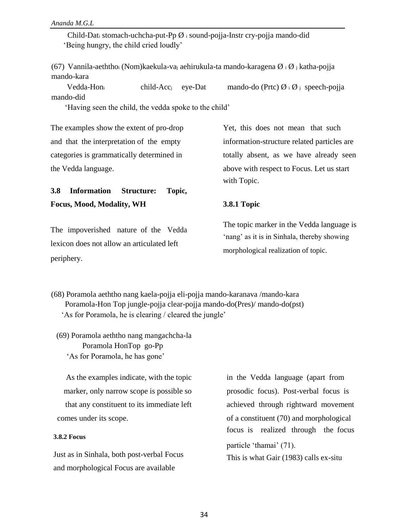Child-Dat<sup>i</sup> stomach-uchcha-put-Pp Ø <sup>i</sup> sound-pojja-Instr cry-pojja mando-did 'Being hungry, the child cried loudly'

(67) Vannila-aeththoi (Nom)kaekula-vaj aehirukula-ta mando-karagena  $\emptyset$  i  $\emptyset$  j katha-pojja mando-kara

Vedda-Honi child-Acc<sub>j</sub> eye-Dat mando-do (Prtc)  $\emptyset$  i  $\emptyset$  j speech-pojja mando-did

'Having seen the child, the vedda spoke to the child'

The examples show the extent of pro-drop Yet, this does not mean that such and that the interpretation of the empty information-structure related particles are categories is grammatically determined in totally absent, as we have already seen the Vedda language. above with respect to Focus. Let us start

**3.8 Information Structure: Topic, Focus, Mood, Modality, WH 3.8.1 Topic**

lexicon does not allow an articulated left periphery.

with Topic.

The impoverished nature of the Vedda The topic marker in the Vedda language is 'nang' as it is in Sinhala, thereby showing morphological realization of topic.

(68) Poramola aeththo nang kaela-pojja eli-pojja mando-karanava /mando-kara Poramola-Hon Top jungle-pojja clear-pojja mando-do(Pres)/ mando-do(pst) 'As for Poramola, he is clearing / cleared the jungle'

(69) Poramola aeththo nang mangachcha-la Poramola HonTop go-Pp 'As for Poramola, he has gone'

As the examples indicate, with the topic in the Vedda language (apart from marker, only narrow scope is possible so prosodic focus). Post-verbal focus is comes under its scope.  $\qquad \qquad$  of a constituent (70) and morphological

### **3.8.2 Focus**

and morphological Focus are available

that any constituent to its immediate left achieved through rightward movement focus is realized through the focus particle 'thamai' (71). Just as in Sinhala, both post-verbal Focus This is what Gair (1983) calls ex-situ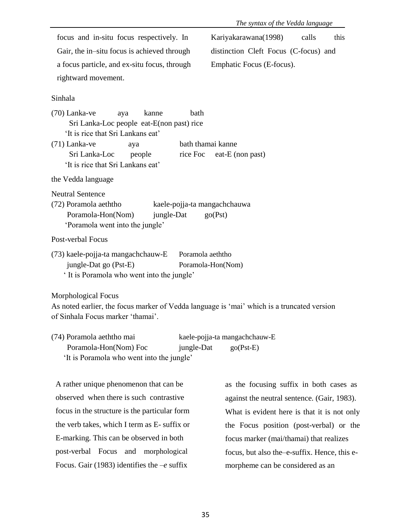|                                                                                                                                                        | The syntax of the Vedda language             |
|--------------------------------------------------------------------------------------------------------------------------------------------------------|----------------------------------------------|
| focus and in-situ focus respectively. In                                                                                                               | Kariyakarawana(1998)<br>calls<br>this        |
| Gair, the in-situ focus is achieved through                                                                                                            | distinction Cleft Focus (C-focus) and        |
| a focus particle, and ex-situ focus, through                                                                                                           | Emphatic Focus (E-focus).                    |
| rightward movement.                                                                                                                                    |                                              |
| Sinhala                                                                                                                                                |                                              |
| $(70)$ Lanka-ve<br>kanne<br>bath<br>aya<br>Sri Lanka-Loc people eat-E(non past) rice<br>'It is rice that Sri Lankans eat'<br>$(71)$ Lanka-ve<br>aya    | bath thamai kanne                            |
| Sri Lanka-Loc<br>rice Foc<br>people<br>'It is rice that Sri Lankans eat'                                                                               | eat-E (non past)                             |
| the Vedda language                                                                                                                                     |                                              |
| <b>Neutral Sentence</b><br>(72) Poramola aeththo<br>Poramola-Hon(Nom)<br>jungle-Dat<br>'Poramola went into the jungle'                                 | kaele-pojja-ta mangachchauwa<br>go(Pst)      |
| Post-verbal Focus                                                                                                                                      |                                              |
| (73) kaele-pojja-ta mangachchauw-E<br>jungle-Dat go (Pst-E)<br>' It is Poramola who went into the jungle'                                              | Poramola aeththo<br>Poramola-Hon(Nom)        |
| Morphological Focus<br>As noted earlier, the focus marker of Vedda language is 'mai' which is a truncated version<br>of Sinhala Focus marker 'thamai'. |                                              |
| (74) Poramola aeththo mai<br>Poramola-Hon(Nom) Foc<br>jungle-Dat<br>'It is Poramola who went into the jungle'                                          | kaele-pojja-ta mangachchauw-E<br>$go(Pst-E)$ |
| A rather unique phenomenon that can be                                                                                                                 | as the focusing suffix in both cases as      |
|                                                                                                                                                        |                                              |

observed when there is such contrastive focus in the structure is the particular form the verb takes, which I term as E- suffix or E-marking. This can be observed in both post-verbal Focus and morphological Focus. Gair (1983) identifies the –*e* suffix

against the neutral sentence. (Gair, 1983). What is evident here is that it is not only the Focus position (post-verbal) or the focus marker (mai/thamai) that realizes focus, but also the–e-suffix. Hence, this emorpheme can be considered as an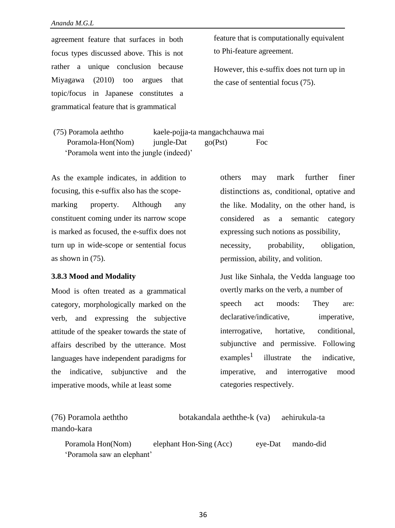agreement feature that surfaces in both focus types discussed above. This is not rather a unique conclusion because Miyagawa (2010) too argues that topic/focus in Japanese constitutes a grammatical feature that is grammatical

feature that is computationally equivalent to Phi-feature agreement.

However, this e-suffix does not turn up in the case of sentential focus (75).

(75) Poramola aeththo kaele-pojja-ta mangachchauwa mai Poramola-Hon(Nom) jungle-Dat go(Pst) Foc 'Poramola went into the jungle (indeed)'

As the example indicates, in addition to focusing, this e-suffix also has the scopemarking property. Although any constituent coming under its narrow scope is marked as focused, the e-suffix does not turn up in wide-scope or sentential focus as shown in (75).

### **3.8.3 Mood and Modality**

Mood is often treated as a grammatical category, morphologically marked on the verb, and expressing the subjective attitude of the speaker towards the state of affairs described by the utterance. Most languages have independent paradigms for the indicative, subjunctive and the imperative moods, while at least some

others may mark further finer distinctions as, conditional, optative and the like. Modality, on the other hand, is considered as a semantic category expressing such notions as possibility, necessity, probability, obligation, permission, ability, and volition.

Just like Sinhala, the Vedda language too overtly marks on the verb, a number of speech act moods: They are: declarative/indicative, imperative, interrogative, hortative, conditional, subjunctive and permissive. Following  $examples<sup>1</sup>$ illustrate the indicative, imperative, and interrogative mood categories respectively.

| (76) Poramola aeththo      | botakandala aeththe-k (va) |         | aehirukula-ta |  |
|----------------------------|----------------------------|---------|---------------|--|
| mando-kara                 |                            |         |               |  |
| Poramola Hon(Nom)          | elephant Hon-Sing (Acc)    | eve-Dat | mando-did     |  |
| 'Poramola saw an elephant' |                            |         |               |  |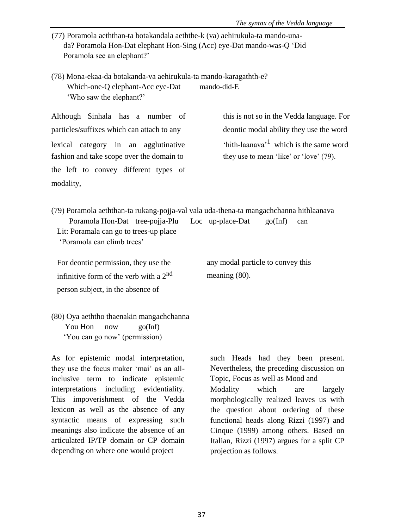- (77) Poramola aeththan-ta botakandala aeththe-k (va) aehirukula-ta mando-unada? Poramola Hon-Dat elephant Hon-Sing (Acc) eye-Dat mando-was-Q 'Did Poramola see an elephant?'
- (78) Mona-ekaa-da botakanda-va aehirukula-ta mando-karagathth-e? Which-one-Q elephant-Acc eye-Dat mando-did-E 'Who saw the elephant?'

Although Sinhala has a number of this is not so in the Vedda language. For particles/suffixes which can attach to any deontic modal ability they use the word lexical category in an agglutinative fashion and take scope over the domain to they use to mean 'like' or 'love' (79). the left to convey different types of modality,

'hith-laanava'<sup>1</sup> which is the same word

(79) Poramola aeththan-ta rukang-pojja-val vala uda-thena-ta mangachchanna hithlaanava Poramola Hon-Dat tree-pojja-Plu Loc up-place-Dat go(Inf) can Lit: Poramala can go to trees-up place 'Poramola can climb trees'

For deontic permission, they use the infinitive form of the verb with a  $2<sup>nd</sup>$ person subject, in the absence of

any modal particle to convey this meaning (80).

(80) Oya aeththo thaenakin mangachchanna You Hon now go(Inf) 'You can go now' (permission)

As for epistemic modal interpretation, they use the focus maker 'mai' as an allinclusive term to indicate epistemic interpretations including evidentiality. This impoverishment of the Vedda lexicon as well as the absence of any syntactic means of expressing such meanings also indicate the absence of an articulated IP/TP domain or CP domain depending on where one would project

such Heads had they been present. Nevertheless, the preceding discussion on Topic, Focus as well as Mood and Modality which are largely morphologically realized leaves us with the question about ordering of these functional heads along Rizzi (1997) and Cinque (1999) among others. Based on Italian, Rizzi (1997) argues for a split CP projection as follows.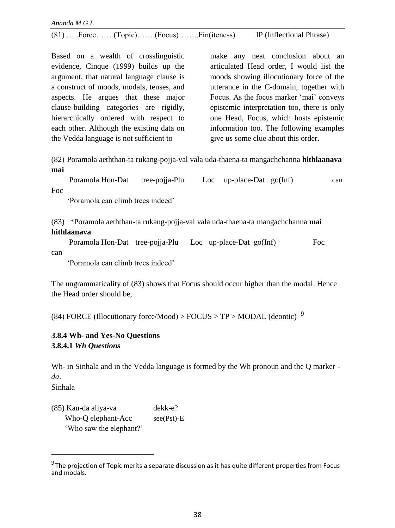(81) …..Force…… (Topic)…… (Focus)……..Fin(iteness) IP (Inflectional Phrase)

Based on a wealth of crosslinguistic evidence, Cinque (1999) builds up the argument, that natural language clause is a construct of moods, modals, tenses, and aspects. He argues that these major clause-building categories are rigidly, hierarchically ordered with respect to each other. Although the existing data on the Vedda language is not sufficient to

make any neat conclusion about an articulated Head order, I would list the moods showing illocutionary force of the utterance in the C-domain, together with Focus. As the focus marker 'mai' conveys epistemic interpretation too, there is only one Head, Focus, which hosts epistemic information too. The following examples give us some clue about this order.

(82) Poramola aeththan-ta rukang-pojja-val vala uda-thaena-ta mangachchanna **hithlaanava mai**

Poramola Hon-Dat tree-pojja-Plu Loc up-place-Dat go(Inf) can Foc

'Poramola can climb trees indeed'

(83) \*Poramola aeththan-ta rukang-pojja-val vala uda-thaena-ta mangachchanna **mai hithlaanava**

Poramola Hon-Dat tree-pojja-Plu Loc up-place-Dat go(Inf) Foc can

'Poramola can climb trees indeed'

The ungrammaticality of (83) shows that Focus should occur higher than the modal. Hence the Head order should be,

(84) FORCE (Illocutionary force/Mood) > FOCUS > TP > MODAL (deontic)  $9$ 

# **3.8.4 Wh- and Yes-No Questions 3.8.4.1** *Wh Questions*

Wh- in Sinhala and in the Vedda language is formed by the Wh pronoun and the Q marker *da*. Sinhala

(85) Kau-da aliya-va dekk-e? Who-O elephant-Acc see(Pst)-E 'Who saw the elephant?'

<sup>&</sup>lt;sup>9</sup> The projection of Topic merits a separate discussion as it has quite different properties from Focus and modals.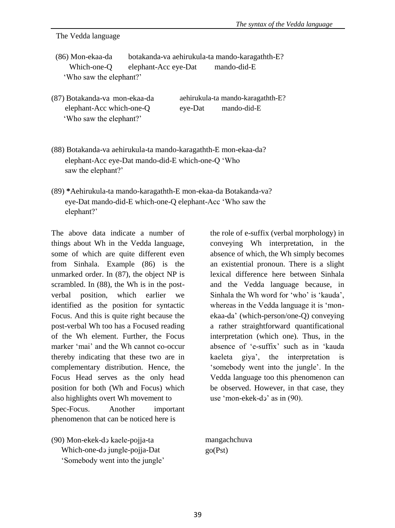The Vedda language

- (86) Mon-ekaa-da botakanda-va aehirukula-ta mando-karagathth-E? Which-one-Q elephant-Acc eye-Dat mando-did-E 'Who saw the elephant?'
- (87) Botakanda-va mon-ekaa-da elephant-Acc which-one-Q 'Who saw the elephant?' aehirukula-ta mando-karagathth-E? eye-Dat mando-did-E
- (88) Botakanda-va aehirukula-ta mando-karagathth-E mon-ekaa-da? elephant-Acc eye-Dat mando-did-E which-one-Q 'Who saw the elephant?'
- (89) **\***Aehirukula-ta mando-karagathth-E mon-ekaa-da Botakanda-va? eye-Dat mando-did-E which-one-Q elephant-Acc 'Who saw the elephant?'

The above data indicate a number of things about Wh in the Vedda language, some of which are quite different even from Sinhala. Example (86) is the unmarked order. In (87), the object NP is scrambled. In (88), the Wh is in the postverbal position, which earlier we identified as the position for syntactic Focus. And this is quite right because the post-verbal Wh too has a Focused reading of the Wh element. Further, the Focus marker 'mai' and the Wh cannot co-occur thereby indicating that these two are in complementary distribution. Hence, the Focus Head serves as the only head position for both (Wh and Focus) which also highlights overt Wh movement to Spec-Focus. Another important phenomenon that can be noticed here is

(90) Mon-ekek-dↄ kaele-pojja-ta Which-one-dↄ jungle-pojja-Dat 'Somebody went into the jungle' the role of e-suffix (verbal morphology) in conveying Wh interpretation, in the absence of which, the Wh simply becomes an existential pronoun. There is a slight lexical difference here between Sinhala and the Vedda language because, in Sinhala the Wh word for 'who' is 'kauda', whereas in the Vedda language it is 'monekaa-da' (which-person/one-Q) conveying a rather straightforward quantificational interpretation (which one). Thus, in the absence of 'e-suffix' such as in 'kauda kaeleta giya', the interpretation is 'somebody went into the jungle'. In the Vedda language too this phenomenon can be observed. However, in that case, they use 'mon-ekek-dɔ' as in (90).

mangachchuva go(Pst)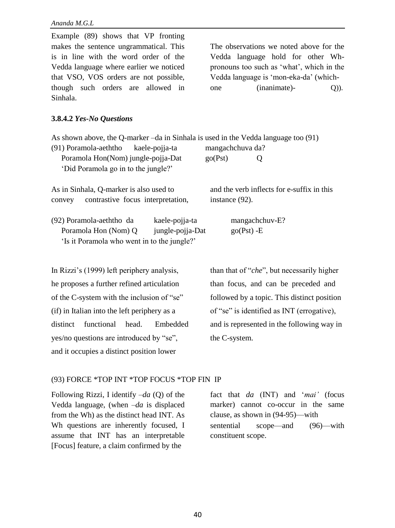| The observations we noted above for the<br>Vedda language hold for other Wh-<br>pronouns too such as 'what', which in the<br>Vedda language is 'mon-eka-da' (which-<br>(inanimate)-<br>$Q$ )).<br>one |  |  |
|-------------------------------------------------------------------------------------------------------------------------------------------------------------------------------------------------------|--|--|
|                                                                                                                                                                                                       |  |  |
| As shown above, the Q-marker -da in Sinhala is used in the Vedda language too (91)<br>mangachchuva da?<br>go(Pst)<br>Q                                                                                |  |  |
| and the verb inflects for e-suffix in this<br>instance (92).                                                                                                                                          |  |  |
| mangachchuv-E?<br>$go(Pst) - E$                                                                                                                                                                       |  |  |
| than that of " <i>che</i> ", but necessarily higher                                                                                                                                                   |  |  |
| than focus, and can be preceded and                                                                                                                                                                   |  |  |
| followed by a topic. This distinct position                                                                                                                                                           |  |  |
| of "se" is identified as INT (errogative),                                                                                                                                                            |  |  |
| and is represented in the following way in                                                                                                                                                            |  |  |
| the C-system.                                                                                                                                                                                         |  |  |
|                                                                                                                                                                                                       |  |  |

# (93) FORCE \*TOP INT \*TOP FOCUS \*TOP FIN IP

Following Rizzi, I identify –*da* (Q) of the Vedda language, (when –*da* is displaced from the Wh) as the distinct head INT. As Wh questions are inherently focused, I assume that INT has an interpretable [Focus] feature, a claim confirmed by the

and it occupies a distinct position lower

fact that *da* (INT) and '*mai'* (focus marker) cannot co-occur in the same clause, as shown in (94-95)—with sentential scope—and (96)—with constituent scope.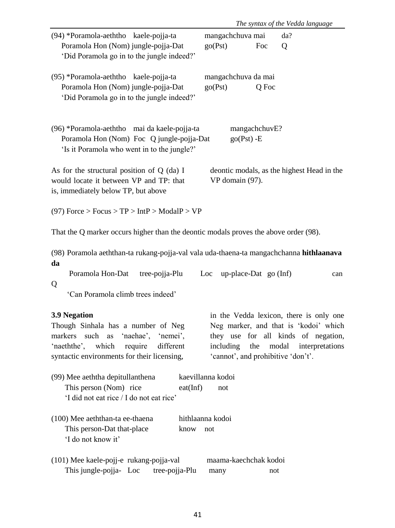|                                                                                                                                                                                       | The syntax of the Vedda language                                                                                                                                                                     |
|---------------------------------------------------------------------------------------------------------------------------------------------------------------------------------------|------------------------------------------------------------------------------------------------------------------------------------------------------------------------------------------------------|
| (94) *Poramola-aeththo kaele-pojja-ta                                                                                                                                                 | mangachchuva mai<br>da?                                                                                                                                                                              |
| Poramola Hon (Nom) jungle-pojja-Dat<br>'Did Poramola go in to the jungle indeed?'                                                                                                     | go(Pst)<br>Foc<br>Q                                                                                                                                                                                  |
| (95) *Poramola-aeththo kaele-pojja-ta<br>Poramola Hon (Nom) jungle-pojja-Dat<br>'Did Poramola go in to the jungle indeed?'                                                            | mangachchuva da mai<br>go(Pst)<br>Q Foc                                                                                                                                                              |
| (96) *Poramola-aeththo mai da kaele-pojja-ta<br>Poramola Hon (Nom) Foc Q jungle-pojja-Dat<br>'Is it Poramola who went in to the jungle?'                                              | mangachchuvE?<br>$go(Pst) - E$                                                                                                                                                                       |
| As for the structural position of Q (da) I<br>would locate it between VP and TP: that<br>is, immediately below TP, but above                                                          | deontic modals, as the highest Head in the<br>VP domain (97).                                                                                                                                        |
| (97) Force > Focus > $TP$ > $IntP$ > $ModalP$ > $VP$                                                                                                                                  |                                                                                                                                                                                                      |
| That the Q marker occurs higher than the deontic modals proves the above order (98).                                                                                                  |                                                                                                                                                                                                      |
| (98) Poramola aeththan-ta rukang-pojja-val vala uda-thaena-ta mangachchanna hithlaanava<br>da                                                                                         |                                                                                                                                                                                                      |
| Poramola Hon-Dat<br>tree-pojja-Plu<br>Q<br>'Can Poramola climb trees indeed'                                                                                                          | up-place-Dat go (Inf)<br>Loc<br>can                                                                                                                                                                  |
| <b>3.9 Negation</b><br>Though Sinhala has a number of Neg<br>markers such as 'naehae', 'nemei'.<br>'naeththe', which require different<br>syntactic environments for their licensing, | in the Vedda lexicon, there is only one<br>Neg marker, and that is 'kodoi' which<br>they use for all kinds of negation,<br>including the modal interpretations<br>'cannot', and prohibitive 'don't'. |
| (99) Mee aeththa depitullanthena<br>This person (Nom) rice<br>eat(Inf)<br>'I did not eat rice / I do not eat rice'                                                                    | kaevillanna kodoi<br>not                                                                                                                                                                             |
| (100) Mee aeththan-ta ee-thaena<br>This person-Dat that-place<br>know<br>'I do not know it'                                                                                           | hithlaanna kodoi<br>not                                                                                                                                                                              |
| (101) Mee kaele-pojj-e rukang-pojja-val<br>This jungle-pojja- Loc<br>tree-pojja-Plu                                                                                                   | maama-kaechchak kodoi<br>many<br>not                                                                                                                                                                 |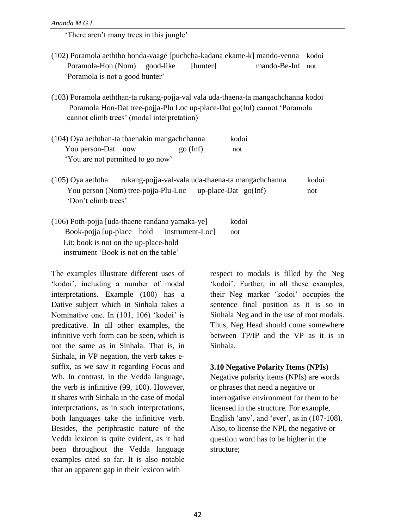'There aren't many trees in this jungle'

- (102) Poramola aeththo honda-vaage [puchcha-kadana ekame-k] mando-venna kodoi Poramola-Hon (Nom) good-like [hunter] mando-Be-Inf not 'Poramola is not a good hunter'
- (103) Poramola aeththan-ta rukang-pojja-val vala uda-thaena-ta mangachchanna kodoi Poramola Hon-Dat tree-pojja-Plu Loc up-place-Dat go(Inf) cannot 'Poramola cannot climb trees' (modal interpretation)
- (104) Oya aeththan-ta thaenakin mangachchanna kodoi You person-Dat now go (Inf) not 'You are not permitted to go now'
- (105) Oya aeththa rukang-pojja-val-vala uda-thaena-ta mangachchanna kodoi You person (Nom) tree-pojia-Plu-Loc up-place-Dat go(Inf) not 'Don't climb trees'
- (106) Poth-pojja [uda-thaene randana yamaka-ye] kodoi Book-pojja [up-place hold instrument-Loc] not Lit: book is not on the up-place-hold instrument 'Book is not on the table'

The examples illustrate different uses of 'kodoi', including a number of modal interpretations. Example (100) has a Dative subject which in Sinhala takes a Nominative one. In (101, 106) 'kodoi' is predicative. In all other examples, the infinitive verb form can be seen, which is not the same as in Sinhala. That is, in Sinhala, in VP negation, the verb takes esuffix, as we saw it regarding Focus and Wh. In contrast, in the Vedda language, the verb is infinitive (99, 100). However, it shares with Sinhala in the case of modal interpretations, as in such interpretations, both languages take the infinitive verb. Besides, the periphrastic nature of the Vedda lexicon is quite evident, as it had been throughout the Vedda language examples cited so far. It is also notable that an apparent gap in their lexicon with

respect to modals is filled by the Neg 'kodoi'. Further, in all these examples, their Neg marker 'kodoi' occupies the sentence final position as it is so in Sinhala Neg and in the use of root modals. Thus, Neg Head should come somewhere between TP/IP and the VP as it is in Sinhala.

### **3.10 Negative Polarity Items (NPIs)**

Negative polarity items (NPIs) are words or phrases that need a negative or interrogative environment for them to be licensed in the structure. For example, English 'any', and 'ever', as in (107-108). Also, to license the NPI, the negative or question word has to be higher in the structure;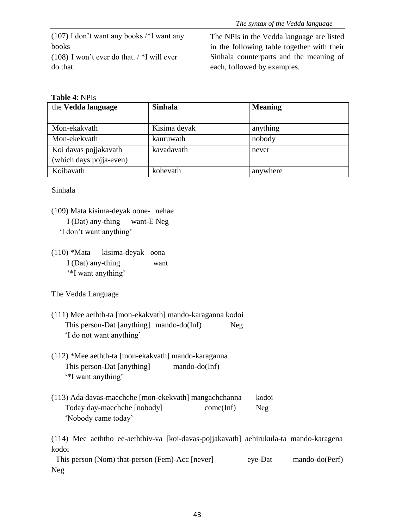(107) I don't want any books /\*I want any books (108) I won't ever do that. / \*I will ever do that.

The NPIs in the Vedda language are listed in the following table together with their Sinhala counterparts and the meaning of each, followed by examples.

# **Table 4**: NPIs

| the Vedda language      | <b>Sinhala</b> | <b>Meaning</b> |
|-------------------------|----------------|----------------|
|                         |                |                |
| Mon-ekakvath            | Kisima deyak   | anything       |
| Mon-ekekvath            | kauruwath      | nobody         |
| Koi davas pojjakavath   | kavadavath     | never          |
| (which days pojja-even) |                |                |
| Koibavath               | kohevath       | anywhere       |

Sinhala

- (109) Mata kisima-deyak oone- nehae I (Dat) any-thing want-E Neg 'I don't want anything'
- (110) \*Mata kisima-deyak oona I (Dat) any-thing want '\*I want anything'

The Vedda Language

- (111) Mee aethth-ta [mon-ekakvath] mando-karaganna kodoi This person-Dat [anything] mando-do(Inf) Neg 'I do not want anything'
- (112) \*Mee aethth-ta [mon-ekakvath] mando-karaganna This person-Dat [anything] mando-do(Inf) '\*I want anything'
- (113) Ada davas-maechche [mon-ekekvath] mangachchanna kodoi Today day-maechche [nobody] come(Inf) Neg 'Nobody came today'

(114) Mee aeththo ee-aeththiv-va [koi-davas-pojjakavath] aehirukula-ta mando-karagena kodoi

This person (Nom) that-person (Fem)-Acc [never] eye-Dat mando-do(Perf) Neg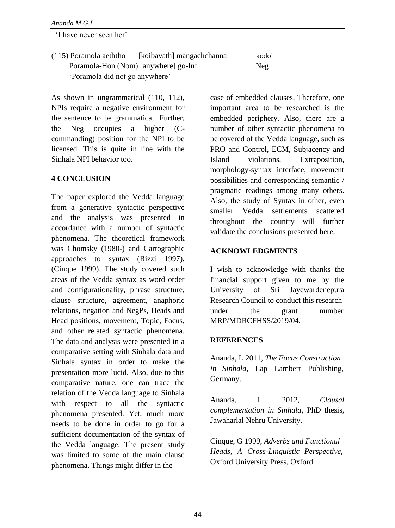'I have never seen her'

| (115) Poramola aeththo               | [koibavath] mangachchanna | kodoi |
|--------------------------------------|---------------------------|-------|
| Poramola-Hon (Nom) [anywhere] go-Inf |                           | Neg   |
| 'Poramola did not go anywhere'       |                           |       |

As shown in ungrammatical (110, 112), NPIs require a negative environment for the sentence to be grammatical. Further, the Neg occupies a higher (Ccommanding) position for the NPI to be licensed. This is quite in line with the Sinhala NPI behavior too.

### **4 CONCLUSION**

The paper explored the Vedda language from a generative syntactic perspective and the analysis was presented in accordance with a number of syntactic phenomena. The theoretical framework was Chomsky (1980-) and Cartographic approaches to syntax (Rizzi 1997), (Cinque 1999). The study covered such areas of the Vedda syntax as word order and configurationality, phrase structure, clause structure, agreement, anaphoric relations, negation and NegPs, Heads and Head positions, movement, Topic, Focus, and other related syntactic phenomena. The data and analysis were presented in a comparative setting with Sinhala data and Sinhala syntax in order to make the presentation more lucid. Also, due to this comparative nature, one can trace the relation of the Vedda language to Sinhala with respect to all the syntactic phenomena presented. Yet, much more needs to be done in order to go for a sufficient documentation of the syntax of the Vedda language. The present study was limited to some of the main clause phenomena. Things might differ in the

case of embedded clauses. Therefore, one important area to be researched is the embedded periphery. Also, there are a number of other syntactic phenomena to be covered of the Vedda language, such as PRO and Control, ECM, Subjacency and Island violations, Extraposition, morphology-syntax interface, movement possibilities and corresponding semantic / pragmatic readings among many others. Also, the study of Syntax in other, even smaller Vedda settlements scattered throughout the country will further validate the conclusions presented here.

### **ACKNOWLEDGMENTS**

I wish to acknowledge with thanks the financial support given to me by the University of Sri Jayewardenepura Research Council to conduct this research under the grant number MRP/MDRCFHSS/2019/04.

### **REFERENCES**

Ananda, L 2011, *The Focus Construction in Sinhala*, Lap Lambert Publishing, Germany.

Ananda, L 2012, *Clausal complementation in Sinhala*, PhD thesis, Jawaharlal Nehru University.

Cinque, G 1999, *Adverbs and Functional Heads, A Cross-Linguistic Perspective*, Oxford University Press, Oxford.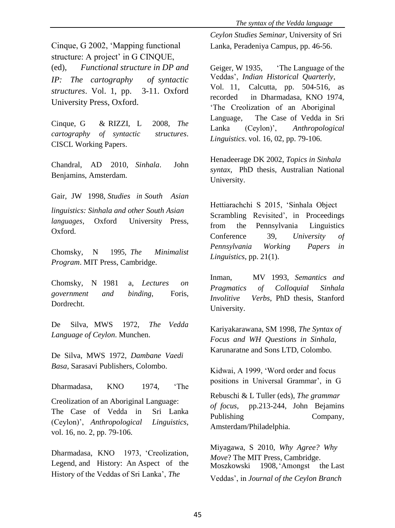Cinque, G 2002, 'Mapping functional Lanka, Peradeniya Campus, pp. 46-56. structure: A project' in G CINQUE, (ed), *Functional structure in DP and* Geiger, W 1935, 'The Language of the *IP: The cartography of syntactic* Veddas', *Indian Historical Quarterly*, structures. Vol. 1, pp. 3-11. Oxford<br>recorded in Dharmadasa, KNO 1974,

Cinque, G & RIZZI, L 2008, *The cartography of syntactic structures*. CISCL Working Papers.

Chandral, AD 2010, *Sinhala*. John Benjamins, Amsterdam. University.

Gair, JW 1998, *Studies in South Asian linguistics: Sinhala and other South Asian* Scrambling Revisited', in Proceedings *languages*, Oxford University Press, *languages*, Oxford University Press, from the Pennsylvania Linguistics Oxford.

Chomsky, N 1995, *The Minimalist Program*. MIT Press, Cambridge.

Chomsky, N 1981 a, *Lectures on government and binding*, Foris, *Involitive Verbs*, PhD thesis, Stanford Dordrecht.

De Silva, MWS 1972, *The Vedda* Kariyakarawana, SM 1998, *The Syntax of*

De Silva, MWS 1972, *Dambane Vaedi Basa*, Sarasavi Publishers, Colombo.<br>
Kidwai, A 1999, 'Word order and focus

Dharmadasa, KNO 1974, 'The

Creolization of an Aboriginal Language: *of focus*, pp.213-244, John Bejamins The Case of Vedda in Sri Lanka Publishing Company, Company, Anthropological Linguistics, (Ceylon)', *Anthropological Linguistics*, vol. 16, no. 2, pp. 79-106.

Dharmadasa, KNO 1973, 'Creolization, Legend, and History: An Aspect of the Moszkowski<br>History of the Veddas of Sri Lanka', The  $V_{\text{A}}$ 

*Ceylon Studies Seminar,* University of Sri

University Press, Oxford. The Creolization of an Aboriginal in Diamatasa, KNO 1974, University Press, Oxford. Language, The Case of Vedda in Sri Lanka (Ceylon)', *Anthropological Linguistics*. vol. 16, 02, pp. 79-106.

> Henadeerage DK 2002, *Topics in Sinhala syntax*, PhD thesis, Australian National

Hettiarachchi S 2015, 'Sinhala Object Oxford. Conference 39, *University of Pennsylvania Working Papers in Linguistics*, pp. 21(1).

> Inman, MV 1993, *Semantics and Pragmatics of Colloquial Sinhala* University.

*Language of Ceylon*. Munchen. *Focus and WH Questions in Sinhala*, Karunaratne and Sons LTD, Colombo.

positions in Universal Grammar', in G

Rebuschi & L Tuller (eds), *The grammar* Amsterdam/Philadelphia.

Miyagawa, S 2010, *Why Agree? Why Move*? The MIT Press, Cambridge. Veddas', in *Journal of the Ceylon Branch*